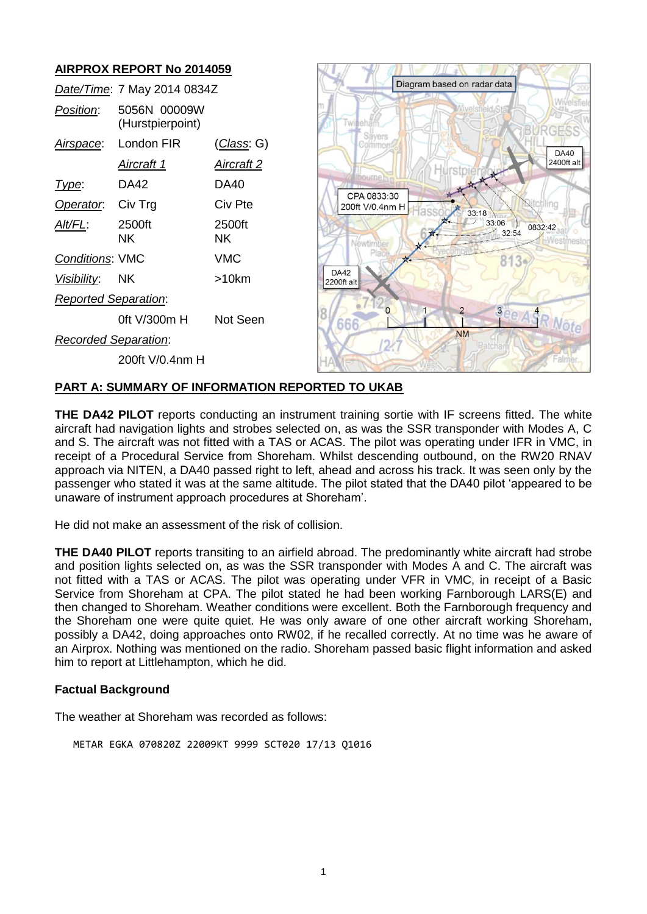# **AIRPROX REPORT No 2014059**

|                             | Date/Time: 7 May 2014 0834Z      |              |
|-----------------------------|----------------------------------|--------------|
| <i>Position:</i>            | 5056N 00009W<br>(Hurstpierpoint) |              |
| Airspace:                   | London FIR                       | (Class: G)   |
|                             | Aircraft 1                       | Aircraft 2   |
| l ype:                      | DA42                             | DA40         |
| Operator.                   | Civ Trg                          | Civ Pte      |
| Alt/FL:                     | 2500ft<br>ΝK                     | 2500ft<br>ΝK |
| <b>Conditions: VMC</b>      |                                  | VMC          |
| <i>Visibility</i> :         | NK.                              | >10km        |
| <b>Reported Separation:</b> |                                  |              |
|                             | 0ft V/300m H                     | Not Seen     |
| Recorded Separation:        |                                  |              |
|                             | 200ft V/0.4nm H                  |              |



### **PART A: SUMMARY OF INFORMATION REPORTED TO UKAB**

**THE DA42 PILOT** reports conducting an instrument training sortie with IF screens fitted. The white aircraft had navigation lights and strobes selected on, as was the SSR transponder with Modes A, C and S. The aircraft was not fitted with a TAS or ACAS. The pilot was operating under IFR in VMC, in receipt of a Procedural Service from Shoreham. Whilst descending outbound, on the RW20 RNAV approach via NITEN, a DA40 passed right to left, ahead and across his track. It was seen only by the passenger who stated it was at the same altitude. The pilot stated that the DA40 pilot 'appeared to be unaware of instrument approach procedures at Shoreham'.

He did not make an assessment of the risk of collision.

**THE DA40 PILOT** reports transiting to an airfield abroad. The predominantly white aircraft had strobe and position lights selected on, as was the SSR transponder with Modes A and C. The aircraft was not fitted with a TAS or ACAS. The pilot was operating under VFR in VMC, in receipt of a Basic Service from Shoreham at CPA. The pilot stated he had been working Farnborough LARS(E) and then changed to Shoreham. Weather conditions were excellent. Both the Farnborough frequency and the Shoreham one were quite quiet. He was only aware of one other aircraft working Shoreham, possibly a DA42, doing approaches onto RW02, if he recalled correctly. At no time was he aware of an Airprox. Nothing was mentioned on the radio. Shoreham passed basic flight information and asked him to report at Littlehampton, which he did.

#### **Factual Background**

The weather at Shoreham was recorded as follows:

METAR EGKA 070820Z 22009KT 9999 SCT020 17/13 Q1016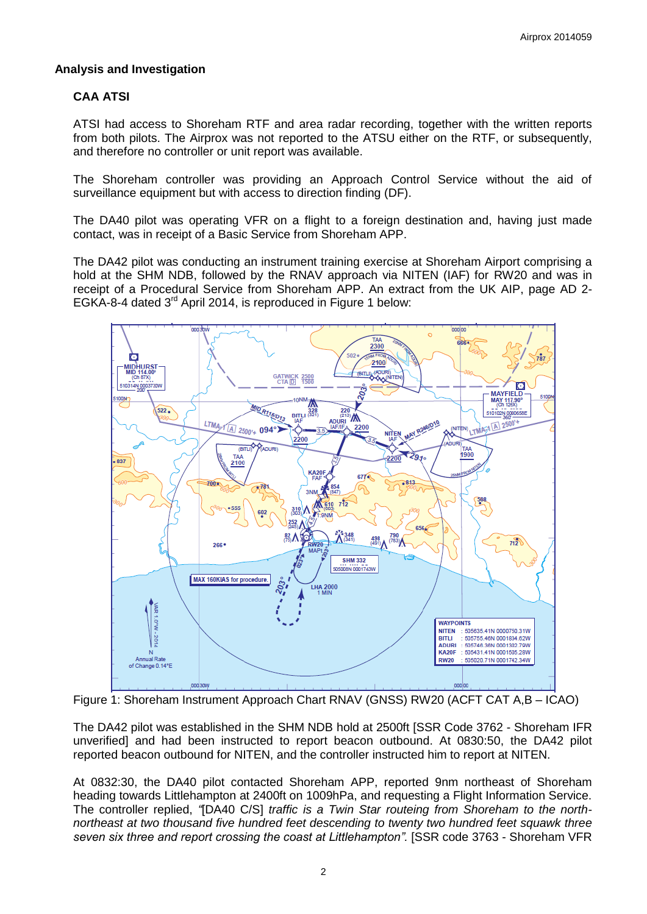### **Analysis and Investigation**

## **CAA ATSI**

ATSI had access to Shoreham RTF and area radar recording, together with the written reports from both pilots. The Airprox was not reported to the ATSU either on the RTF, or subsequently, and therefore no controller or unit report was available.

The Shoreham controller was providing an Approach Control Service without the aid of surveillance equipment but with access to direction finding (DF).

The DA40 pilot was operating VFR on a flight to a foreign destination and, having just made contact, was in receipt of a Basic Service from Shoreham APP.

The DA42 pilot was conducting an instrument training exercise at Shoreham Airport comprising a hold at the SHM NDB, followed by the RNAV approach via NITEN (IAF) for RW20 and was in receipt of a Procedural Service from Shoreham APP. An extract from the UK AIP, page AD 2- EGKA-8-4 dated 3<sup>rd</sup> April 2014, is reproduced in Figure 1 below:



Figure 1: Shoreham Instrument Approach Chart RNAV (GNSS) RW20 (ACFT CAT A,B – ICAO)

The DA42 pilot was established in the SHM NDB hold at 2500ft [SSR Code 3762 - Shoreham IFR unverified] and had been instructed to report beacon outbound. At 0830:50, the DA42 pilot reported beacon outbound for NITEN, and the controller instructed him to report at NITEN.

At 0832:30, the DA40 pilot contacted Shoreham APP, reported 9nm northeast of Shoreham heading towards Littlehampton at 2400ft on 1009hPa, and requesting a Flight Information Service. The controller replied, *"*[DA40 C/S] *traffic is a Twin Star routeing from Shoreham to the northnortheast at two thousand five hundred feet descending to twenty two hundred feet squawk three*  seven six three and report crossing the coast at Littlehampton". [SSR code 3763 - Shoreham VFR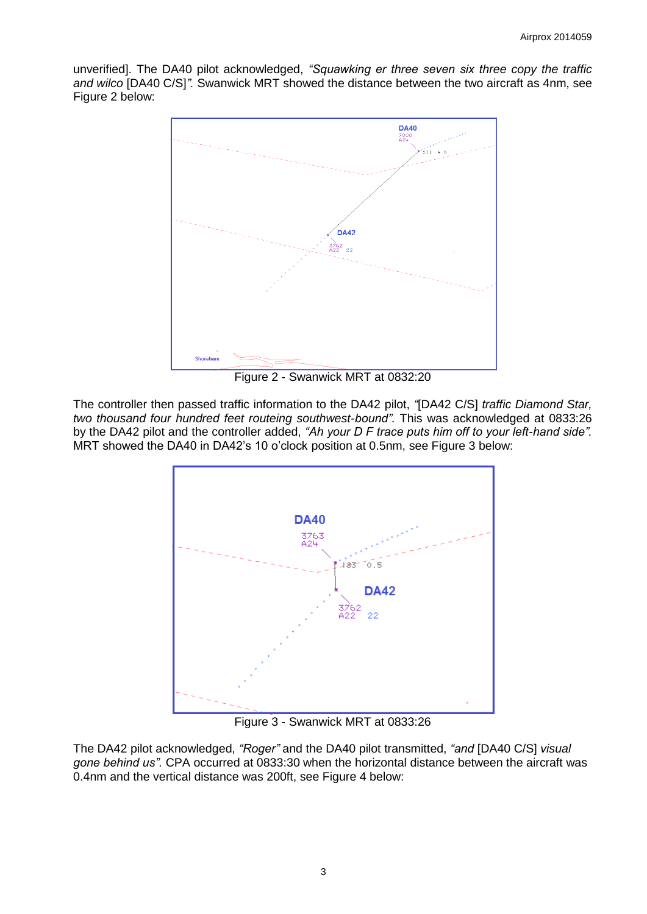unverified]. The DA40 pilot acknowledged, *"Squawking er three seven six three copy the traffic and wilco* [DA40 C/S]*".* Swanwick MRT showed the distance between the two aircraft as 4nm, see Figure 2 below:



Figure 2 - Swanwick MRT at 0832:20

The controller then passed traffic information to the DA42 pilot, *"*[DA42 C/S] *traffic Diamond Star, two thousand four hundred feet routeing southwest-bound".* This was acknowledged at 0833:26 by the DA42 pilot and the controller added, *"Ah your D F trace puts him off to your left-hand side".* MRT showed the DA40 in DA42's 10 o'clock position at 0.5nm, see Figure 3 below:



Figure 3 - Swanwick MRT at 0833:26

The DA42 pilot acknowledged, *"Roger"* and the DA40 pilot transmitted, *"and* [DA40 C/S] *visual gone behind us".* CPA occurred at 0833:30 when the horizontal distance between the aircraft was 0.4nm and the vertical distance was 200ft, see Figure 4 below: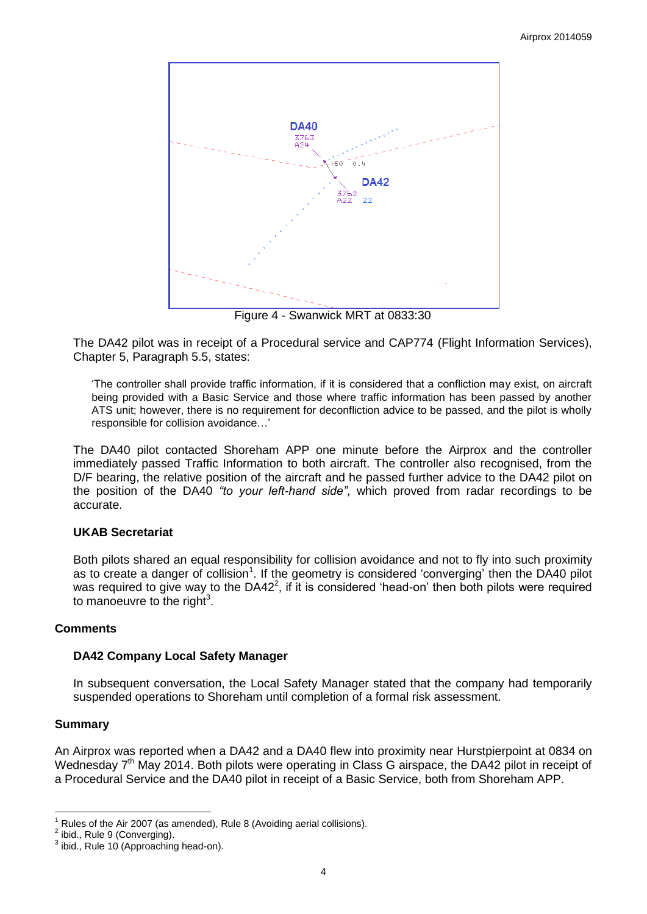

Figure 4 - Swanwick MRT at 0833:30

The DA42 pilot was in receipt of a Procedural service and CAP774 (Flight Information Services), Chapter 5, Paragraph 5.5, states:

'The controller shall provide traffic information, if it is considered that a confliction may exist, on aircraft being provided with a Basic Service and those where traffic information has been passed by another ATS unit; however, there is no requirement for deconfliction advice to be passed, and the pilot is wholly responsible for collision avoidance…'

The DA40 pilot contacted Shoreham APP one minute before the Airprox and the controller immediately passed Traffic Information to both aircraft. The controller also recognised, from the D/F bearing, the relative position of the aircraft and he passed further advice to the DA42 pilot on the position of the DA40 *"to your left-hand side"*, which proved from radar recordings to be accurate.

## **UKAB Secretariat**

Both pilots shared an equal responsibility for collision avoidance and not to fly into such proximity as to create a danger of collision<sup>1</sup>. If the geometry is considered 'converging' then the DA40 pilot was required to give way to the  $DA42^2$ , if it is considered 'head-on' then both pilots were required to manoeuvre to the right<sup>3</sup>.

#### **Comments**

#### **DA42 Company Local Safety Manager**

In subsequent conversation, the Local Safety Manager stated that the company had temporarily suspended operations to Shoreham until completion of a formal risk assessment.

#### **Summary**

 $\overline{a}$ 

An Airprox was reported when a DA42 and a DA40 flew into proximity near Hurstpierpoint at 0834 on Wednesday 7<sup>th</sup> May 2014. Both pilots were operating in Class G airspace, the DA42 pilot in receipt of a Procedural Service and the DA40 pilot in receipt of a Basic Service, both from Shoreham APP.

Rules of the Air 2007 (as amended), Rule 8 (Avoiding aerial collisions).

 $2$  ibid., Rule 9 (Converging).

 $^3$  ibid., Rule 10 (Approaching head-on).